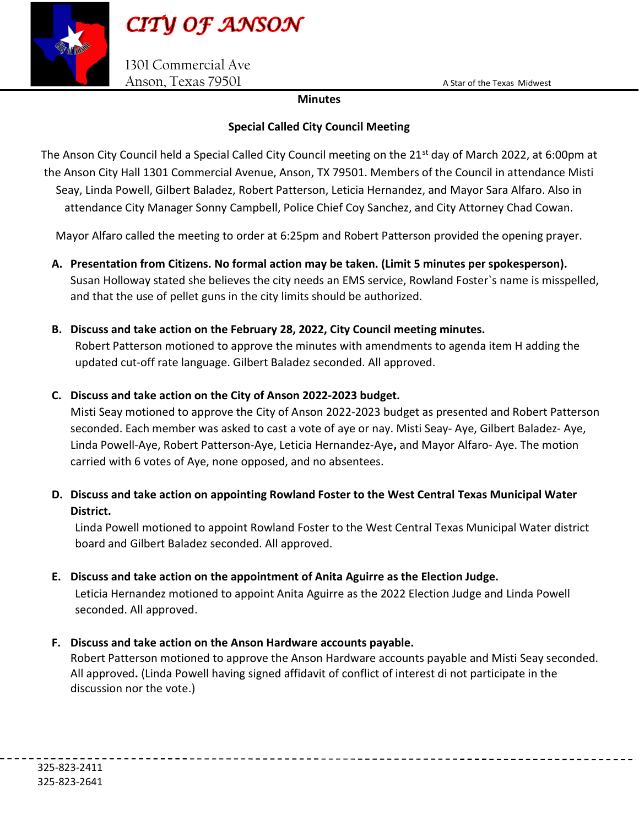

1301 Commercial Ave Anson, Texas 79501 A Star of the Texas Midwest

## Minutes

## Special Called City Council Meeting

The Anson City Council held a Special Called City Council meeting on the 21<sup>st</sup> day of March 2022, at 6:00pm at the Anson City Hall 1301 Commercial Avenue, Anson, TX 79501. Members of the Council in attendance Misti Seay, Linda Powell, Gilbert Baladez, Robert Patterson, Leticia Hernandez, and Mayor Sara Alfaro. Also in attendance City Manager Sonny Campbell, Police Chief Coy Sanchez, and City Attorney Chad Cowan.

Mayor Alfaro called the meeting to order at 6:25pm and Robert Patterson provided the opening prayer.

- A. Presentation from Citizens. No formal action may be taken. (Limit 5 minutes per spokesperson). Susan Holloway stated she believes the city needs an EMS service, Rowland Foster`s name is misspelled, and that the use of pellet guns in the city limits should be authorized.
- B. Discuss and take action on the February 28, 2022, City Council meeting minutes. Robert Patterson motioned to approve the minutes with amendments to agenda item H adding the updated cut-off rate language. Gilbert Baladez seconded. All approved.
- C. Discuss and take action on the City of Anson 2022-2023 budget.

Misti Seay motioned to approve the City of Anson 2022-2023 budget as presented and Robert Patterson seconded. Each member was asked to cast a vote of aye or nay. Misti Seay- Aye, Gilbert Baladez- Aye, Linda Powell-Aye, Robert Patterson-Aye, Leticia Hernandez-Aye, and Mayor Alfaro- Aye. The motion carried with 6 votes of Aye, none opposed, and no absentees.

D. Discuss and take action on appointing Rowland Foster to the West Central Texas Municipal Water District.

Linda Powell motioned to appoint Rowland Foster to the West Central Texas Municipal Water district board and Gilbert Baladez seconded. All approved.

E. Discuss and take action on the appointment of Anita Aguirre as the Election Judge.

Leticia Hernandez motioned to appoint Anita Aguirre as the 2022 Election Judge and Linda Powell seconded. All approved.

F. Discuss and take action on the Anson Hardware accounts payable.

Robert Patterson motioned to approve the Anson Hardware accounts payable and Misti Seay seconded. All approved. (Linda Powell having signed affidavit of conflict of interest di not participate in the discussion nor the vote.)